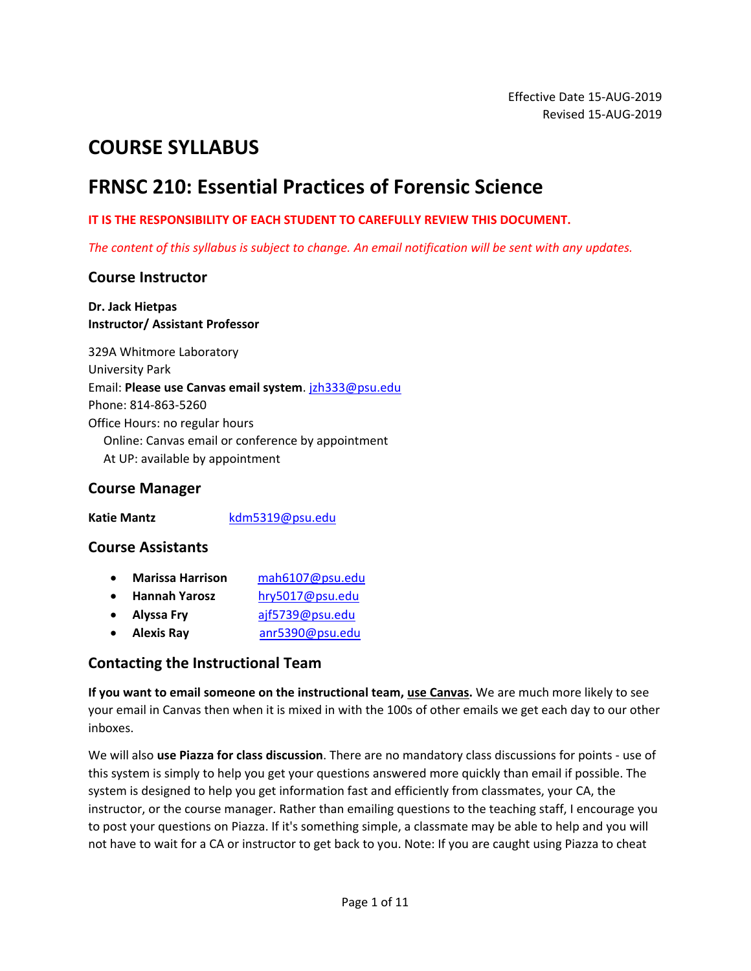# **COURSE SYLLABUS**

# **FRNSC 210: Essential Practices of Forensic Science**

#### **IT IS THE RESPONSIBILITY OF EACH STUDENT TO CAREFULLY REVIEW THIS DOCUMENT.**

*The content of this syllabus is subject to change. An email notification will be sent with any updates.*

### **Course Instructor**

#### **Dr. Jack Hietpas Instructor/ Assistant Professor**

329A Whitmore Laboratory University Park Email: **Please use Canvas email system**. [jzh333@psu.edu](mailto:jzh333@psu.edu) Phone: 814-863-5260 Office Hours: no regular hours Online: Canvas email or conference by appointment At UP: available by appointment

### **Course Manager**

Katie Mantz **Kdm5319@psu.edu** 

### **Course Assistants**

- **Marissa Harrison** [mah6107@psu.edu](mailto:mah6170@psu.edu)
- **Hannah Yarosz** [hry5017@psu.edu](mailto:hry5017@psu.edu)
- **Alyssa Fry** [ajf5739@psu.edu](mailto:ajf5739@psu.edu)
- **Alexis Ray** [anr5390@psu.edu](mailto:anr5390@psu.edu)

### **Contacting the Instructional Team**

**If you want to email someone on the instructional team, use Canvas.** We are much more likely to see your email in Canvas then when it is mixed in with the 100s of other emails we get each day to our other inboxes.

We will also **use Piazza for class discussion**. There are no mandatory class discussions for points - use of this system is simply to help you get your questions answered more quickly than email if possible. The system is designed to help you get information fast and efficiently from classmates, your CA, the instructor, or the course manager. Rather than emailing questions to the teaching staff, I encourage you to post your questions on Piazza. If it's something simple, a classmate may be able to help and you will not have to wait for a CA or instructor to get back to you. Note: If you are caught using Piazza to cheat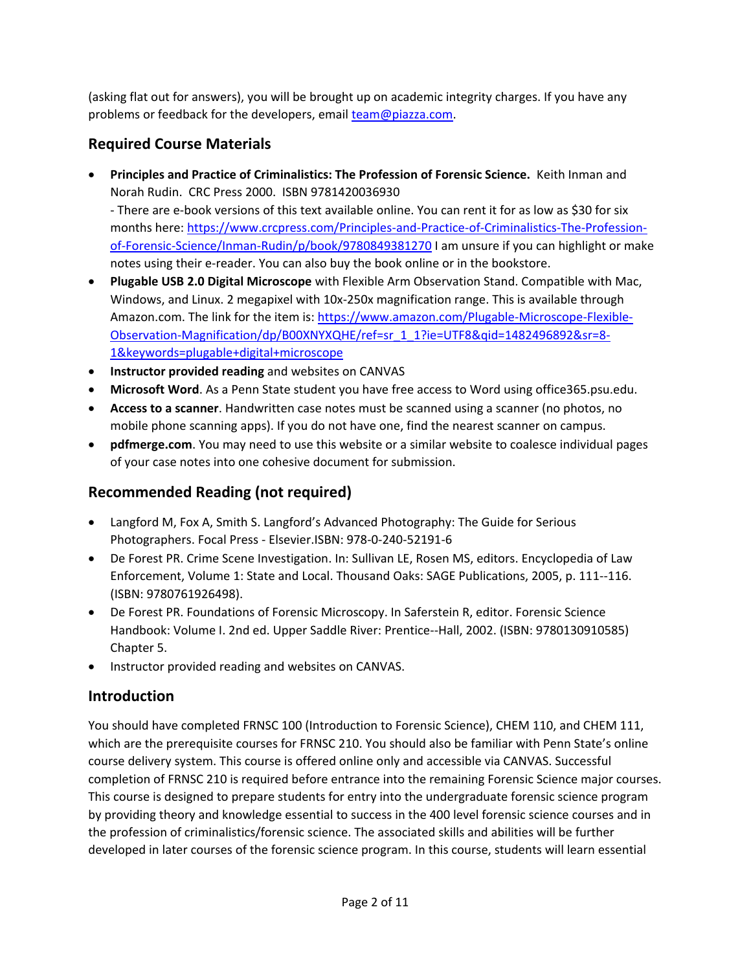(asking flat out for answers), you will be brought up on academic integrity charges. If you have any problems or feedback for the developers, email [team@piazza.com.](mailto:team@piazza.com)

# **Required Course Materials**

• **Principles and Practice of Criminalistics: The Profession of Forensic Science.** Keith Inman and Norah Rudin. CRC Press 2000. ISBN 9781420036930

- There are e-book versions of this text available online. You can rent it for as low as \$30 for six months here: [https://www.crcpress.com/Principles-and-Practice-of-Criminalistics-The-Profession](https://www.crcpress.com/Principles-and-Practice-of-Criminalistics-The-Profession-of-Forensic-Science/Inman-Rudin/p/book/9780849381270)[of-Forensic-Science/Inman-Rudin/p/book/9780849381270](https://www.crcpress.com/Principles-and-Practice-of-Criminalistics-The-Profession-of-Forensic-Science/Inman-Rudin/p/book/9780849381270) I am unsure if you can highlight or make notes using their e-reader. You can also buy the book online or in the bookstore.

- **Plugable USB 2.0 Digital Microscope** with Flexible Arm Observation Stand. Compatible with Mac, Windows, and Linux. 2 megapixel with 10x-250x magnification range. This is available through Amazon.com. The link for the item is: [https://www.amazon.com/Plugable-Microscope-Flexible-](https://www.amazon.com/Plugable-Microscope-Flexible-Observation-Magnification/dp/B00XNYXQHE/ref=sr_1_1?ie=UTF8&qid=1482496892&sr=8-1&keywords=plugable+digital+microscope%20)[Observation-Magnification/dp/B00XNYXQHE/ref=sr\\_1\\_1?ie=UTF8&qid=1482496892&sr=8-](https://www.amazon.com/Plugable-Microscope-Flexible-Observation-Magnification/dp/B00XNYXQHE/ref=sr_1_1?ie=UTF8&qid=1482496892&sr=8-1&keywords=plugable+digital+microscope%20) [1&keywords=plugable+digital+microscope](https://www.amazon.com/Plugable-Microscope-Flexible-Observation-Magnification/dp/B00XNYXQHE/ref=sr_1_1?ie=UTF8&qid=1482496892&sr=8-1&keywords=plugable+digital+microscope%20)
- **Instructor provided reading** and websites on CANVAS
- **Microsoft Word**. As a Penn State student you have free access to Word using office365.psu.edu.
- **Access to a scanner**. Handwritten case notes must be scanned using a scanner (no photos, no mobile phone scanning apps). If you do not have one, find the nearest scanner on campus.
- **pdfmerge.com**. You may need to use this website or a similar website to coalesce individual pages of your case notes into one cohesive document for submission.

## **Recommended Reading (not required)**

- Langford M, Fox A, Smith S. Langford's Advanced Photography: The Guide for Serious Photographers. Focal Press - Elsevier.ISBN: 978-0-240-52191-6
- De Forest PR. Crime Scene Investigation. In: Sullivan LE, Rosen MS, editors. Encyclopedia of Law Enforcement, Volume 1: State and Local. Thousand Oaks: SAGE Publications, 2005, p. 111-‐116. (ISBN: 9780761926498).
- De Forest PR. Foundations of Forensic Microscopy. In Saferstein R, editor. Forensic Science Handbook: Volume I. 2nd ed. Upper Saddle River: Prentice-‐Hall, 2002. (ISBN: 9780130910585) Chapter 5.
- Instructor provided reading and websites on CANVAS.

## **Introduction**

You should have completed FRNSC 100 (Introduction to Forensic Science), CHEM 110, and CHEM 111, which are the prerequisite courses for FRNSC 210. You should also be familiar with Penn State's online course delivery system. This course is offered online only and accessible via CANVAS. Successful completion of FRNSC 210 is required before entrance into the remaining Forensic Science major courses. This course is designed to prepare students for entry into the undergraduate forensic science program by providing theory and knowledge essential to success in the 400 level forensic science courses and in the profession of criminalistics/forensic science. The associated skills and abilities will be further developed in later courses of the forensic science program. In this course, students will learn essential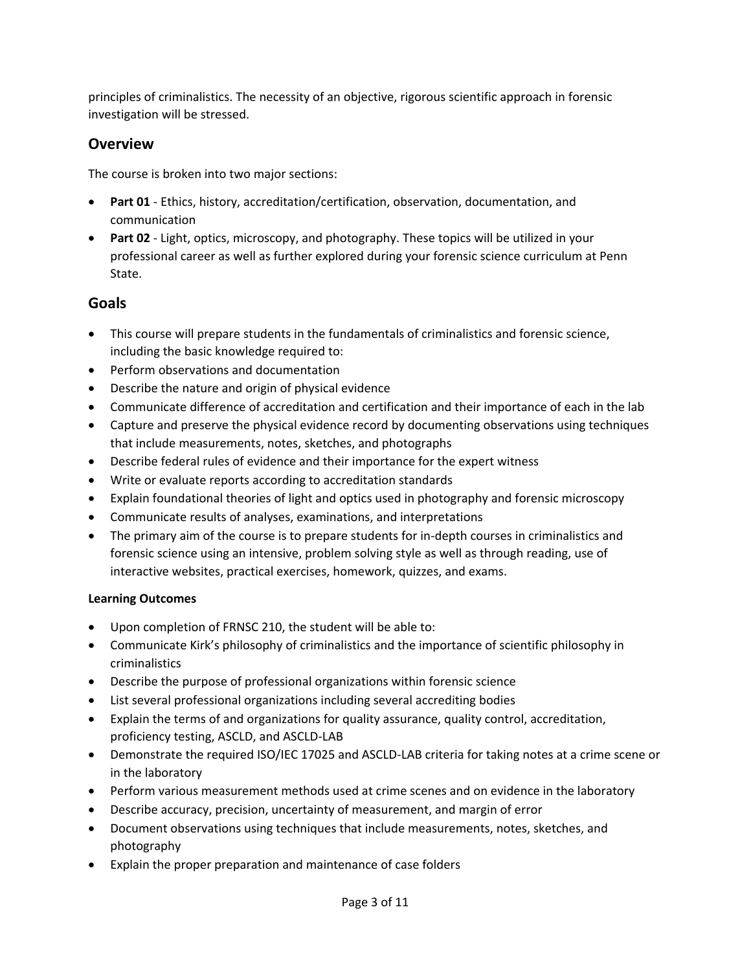principles of criminalistics. The necessity of an objective, rigorous scientific approach in forensic investigation will be stressed.

### **Overview**

The course is broken into two major sections:

- **Part 01** Ethics, history, accreditation/certification, observation, documentation, and communication
- **Part 02** Light, optics, microscopy, and photography. These topics will be utilized in your professional career as well as further explored during your forensic science curriculum at Penn State.

### **Goals**

- This course will prepare students in the fundamentals of criminalistics and forensic science, including the basic knowledge required to:
- Perform observations and documentation
- Describe the nature and origin of physical evidence
- Communicate difference of accreditation and certification and their importance of each in the lab
- Capture and preserve the physical evidence record by documenting observations using techniques that include measurements, notes, sketches, and photographs
- Describe federal rules of evidence and their importance for the expert witness
- Write or evaluate reports according to accreditation standards
- Explain foundational theories of light and optics used in photography and forensic microscopy
- Communicate results of analyses, examinations, and interpretations
- The primary aim of the course is to prepare students for in-depth courses in criminalistics and forensic science using an intensive, problem solving style as well as through reading, use of interactive websites, practical exercises, homework, quizzes, and exams.

### **Learning Outcomes**

- Upon completion of FRNSC 210, the student will be able to:
- Communicate Kirk's philosophy of criminalistics and the importance of scientific philosophy in criminalistics
- Describe the purpose of professional organizations within forensic science
- List several professional organizations including several accrediting bodies
- Explain the terms of and organizations for quality assurance, quality control, accreditation, proficiency testing, ASCLD, and ASCLD-LAB
- Demonstrate the required ISO/IEC 17025 and ASCLD-LAB criteria for taking notes at a crime scene or in the laboratory
- Perform various measurement methods used at crime scenes and on evidence in the laboratory
- Describe accuracy, precision, uncertainty of measurement, and margin of error
- Document observations using techniques that include measurements, notes, sketches, and photography
- Explain the proper preparation and maintenance of case folders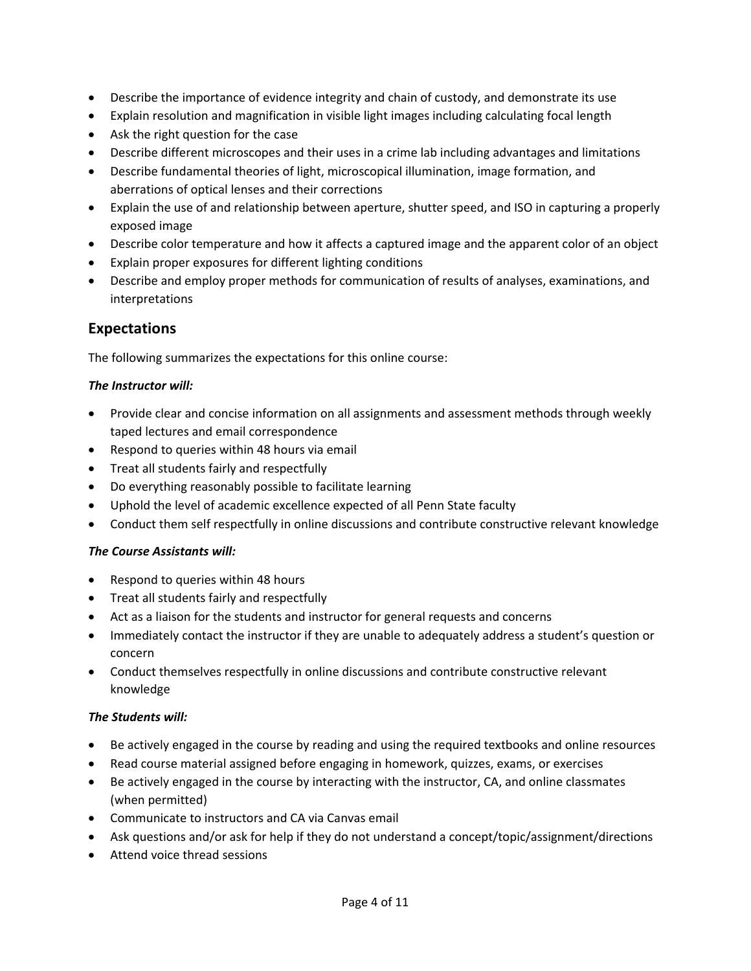- Describe the importance of evidence integrity and chain of custody, and demonstrate its use
- Explain resolution and magnification in visible light images including calculating focal length
- Ask the right question for the case
- Describe different microscopes and their uses in a crime lab including advantages and limitations
- Describe fundamental theories of light, microscopical illumination, image formation, and aberrations of optical lenses and their corrections
- Explain the use of and relationship between aperture, shutter speed, and ISO in capturing a properly exposed image
- Describe color temperature and how it affects a captured image and the apparent color of an object
- Explain proper exposures for different lighting conditions
- Describe and employ proper methods for communication of results of analyses, examinations, and interpretations

### **Expectations**

The following summarizes the expectations for this online course:

#### *The Instructor will:*

- Provide clear and concise information on all assignments and assessment methods through weekly taped lectures and email correspondence
- Respond to queries within 48 hours via email
- Treat all students fairly and respectfully
- Do everything reasonably possible to facilitate learning
- Uphold the level of academic excellence expected of all Penn State faculty
- Conduct them self respectfully in online discussions and contribute constructive relevant knowledge

#### *The Course Assistants will:*

- Respond to queries within 48 hours
- Treat all students fairly and respectfully
- Act as a liaison for the students and instructor for general requests and concerns
- Immediately contact the instructor if they are unable to adequately address a student's question or concern
- Conduct themselves respectfully in online discussions and contribute constructive relevant knowledge

#### *The Students will:*

- Be actively engaged in the course by reading and using the required textbooks and online resources
- Read course material assigned before engaging in homework, quizzes, exams, or exercises
- Be actively engaged in the course by interacting with the instructor, CA, and online classmates (when permitted)
- Communicate to instructors and CA via Canvas email
- Ask questions and/or ask for help if they do not understand a concept/topic/assignment/directions
- Attend voice thread sessions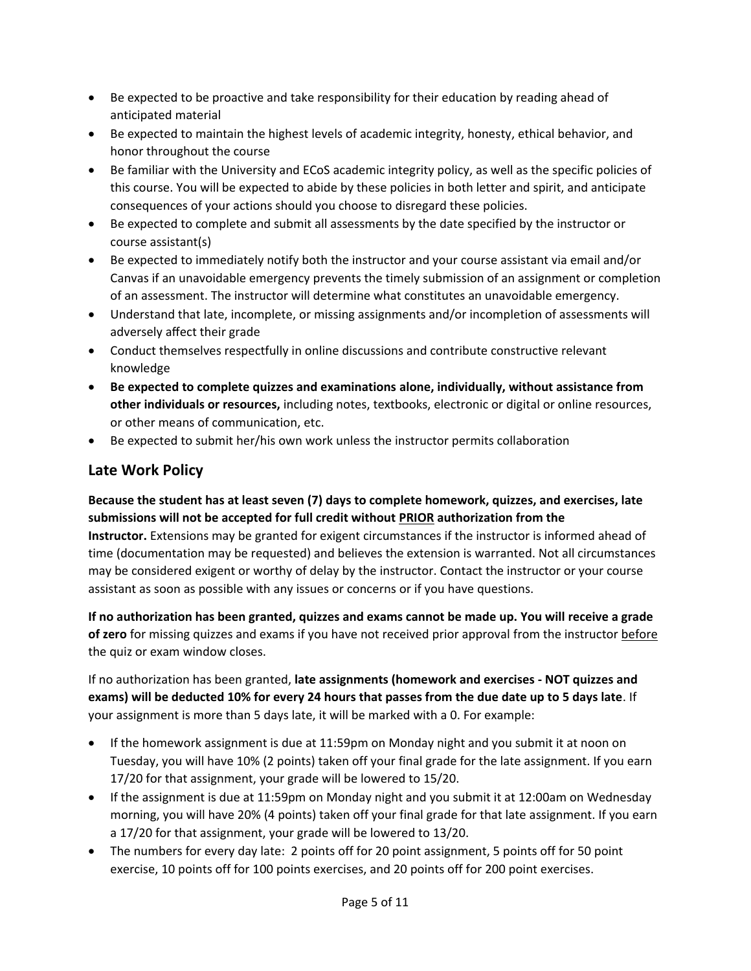- Be expected to be proactive and take responsibility for their education by reading ahead of anticipated material
- Be expected to maintain the highest levels of academic integrity, honesty, ethical behavior, and honor throughout the course
- Be familiar with the University and ECoS academic integrity policy, as well as the specific policies of this course. You will be expected to abide by these policies in both letter and spirit, and anticipate consequences of your actions should you choose to disregard these policies.
- Be expected to complete and submit all assessments by the date specified by the instructor or course assistant(s)
- Be expected to immediately notify both the instructor and your course assistant via email and/or Canvas if an unavoidable emergency prevents the timely submission of an assignment or completion of an assessment. The instructor will determine what constitutes an unavoidable emergency.
- Understand that late, incomplete, or missing assignments and/or incompletion of assessments will adversely affect their grade
- Conduct themselves respectfully in online discussions and contribute constructive relevant knowledge
- **Be expected to complete quizzes and examinations alone, individually, without assistance from other individuals or resources,** including notes, textbooks, electronic or digital or online resources, or other means of communication, etc.
- Be expected to submit her/his own work unless the instructor permits collaboration

# **Late Work Policy**

**Because the student has at least seven (7) days to complete homework, quizzes, and exercises, late submissions will not be accepted for full credit without PRIOR authorization from the Instructor.** Extensions may be granted for exigent circumstances if the instructor is informed ahead of time (documentation may be requested) and believes the extension is warranted. Not all circumstances may be considered exigent or worthy of delay by the instructor. Contact the instructor or your course assistant as soon as possible with any issues or concerns or if you have questions.

**If no authorization has been granted, quizzes and exams cannot be made up. You will receive a grade of zero** for missing quizzes and exams if you have not received prior approval from the instructor before the quiz or exam window closes.

If no authorization has been granted, **late assignments (homework and exercises - NOT quizzes and exams) will be deducted 10% for every 24 hours that passes from the due date up to 5 days late**. If your assignment is more than 5 days late, it will be marked with a 0. For example:

- If the homework assignment is due at 11:59pm on Monday night and you submit it at noon on Tuesday, you will have 10% (2 points) taken off your final grade for the late assignment. If you earn 17/20 for that assignment, your grade will be lowered to 15/20.
- If the assignment is due at 11:59pm on Monday night and you submit it at 12:00am on Wednesday morning, you will have 20% (4 points) taken off your final grade for that late assignment. If you earn a 17/20 for that assignment, your grade will be lowered to 13/20.
- The numbers for every day late: 2 points off for 20 point assignment, 5 points off for 50 point exercise, 10 points off for 100 points exercises, and 20 points off for 200 point exercises.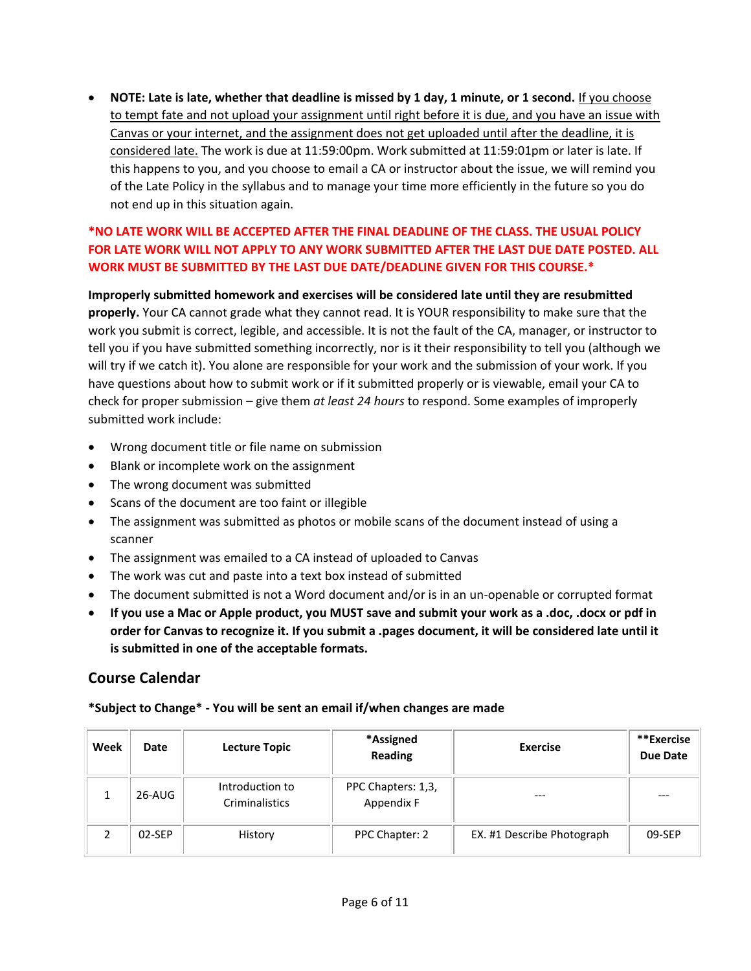• **NOTE: Late is late, whether that deadline is missed by 1 day, 1 minute, or 1 second.** If you choose to tempt fate and not upload your assignment until right before it is due, and you have an issue with Canvas or your internet, and the assignment does not get uploaded until after the deadline, it is considered late. The work is due at 11:59:00pm. Work submitted at 11:59:01pm or later is late. If this happens to you, and you choose to email a CA or instructor about the issue, we will remind you of the Late Policy in the syllabus and to manage your time more efficiently in the future so you do not end up in this situation again.

### **\*NO LATE WORK WILL BE ACCEPTED AFTER THE FINAL DEADLINE OF THE CLASS. THE USUAL POLICY FOR LATE WORK WILL NOT APPLY TO ANY WORK SUBMITTED AFTER THE LAST DUE DATE POSTED. ALL WORK MUST BE SUBMITTED BY THE LAST DUE DATE/DEADLINE GIVEN FOR THIS COURSE.\***

**Improperly submitted homework and exercises will be considered late until they are resubmitted properly.** Your CA cannot grade what they cannot read. It is YOUR responsibility to make sure that the work you submit is correct, legible, and accessible. It is not the fault of the CA, manager, or instructor to tell you if you have submitted something incorrectly, nor is it their responsibility to tell you (although we will try if we catch it). You alone are responsible for your work and the submission of your work. If you have questions about how to submit work or if it submitted properly or is viewable, email your CA to check for proper submission – give them *at least 24 hours* to respond. Some examples of improperly submitted work include:

- Wrong document title or file name on submission
- Blank or incomplete work on the assignment
- The wrong document was submitted
- Scans of the document are too faint or illegible
- The assignment was submitted as photos or mobile scans of the document instead of using a scanner
- The assignment was emailed to a CA instead of uploaded to Canvas
- The work was cut and paste into a text box instead of submitted
- The document submitted is not a Word document and/or is in an un-openable or corrupted format
- **If you use a Mac or Apple product, you MUST save and submit your work as a .doc, .docx or pdf in order for Canvas to recognize it. If you submit a .pages document, it will be considered late until it is submitted in one of the acceptable formats.**

### **Course Calendar**

### **\*Subject to Change\* - You will be sent an email if/when changes are made**

| Week | Date   | <b>Lecture Topic</b>              | *Assigned<br><b>Reading</b>      | <b>Exercise</b>            | **Exercise<br>Due Date |
|------|--------|-----------------------------------|----------------------------------|----------------------------|------------------------|
|      | 26-AUG | Introduction to<br>Criminalistics | PPC Chapters: 1,3,<br>Appendix F | ---                        | ---                    |
|      | 02-SEP | History                           | PPC Chapter: 2                   | EX. #1 Describe Photograph | 09-SEP                 |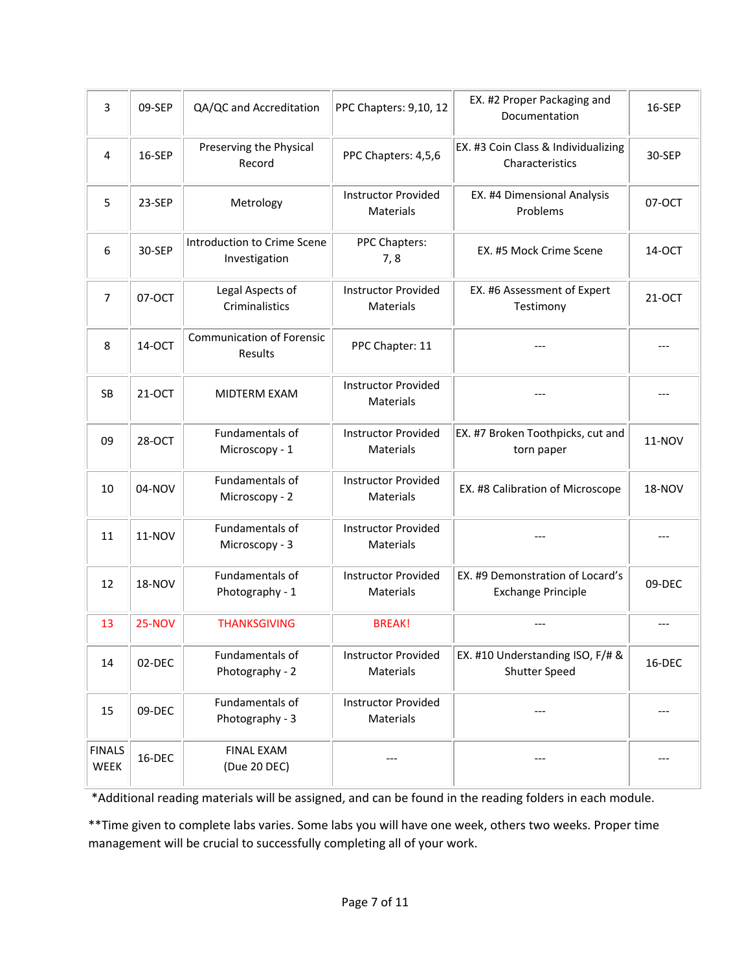| 3                     | 09-SEP        | QA/QC and Accreditation                      | PPC Chapters: 9,10, 12                         | EX. #2 Proper Packaging and<br>Documentation                  | 16-SEP        |
|-----------------------|---------------|----------------------------------------------|------------------------------------------------|---------------------------------------------------------------|---------------|
| 4                     | 16-SEP        | Preserving the Physical<br>Record            | PPC Chapters: 4,5,6                            | EX. #3 Coin Class & Individualizing<br>Characteristics        | 30-SEP        |
| 5                     | 23-SEP        | Metrology                                    | <b>Instructor Provided</b><br>Materials        | EX. #4 Dimensional Analysis<br>Problems                       | 07-OCT        |
| 6                     | 30-SEP        | Introduction to Crime Scene<br>Investigation | PPC Chapters:<br>7,8                           | EX. #5 Mock Crime Scene                                       | 14-OCT        |
| $\overline{7}$        | 07-OCT        | Legal Aspects of<br>Criminalistics           | <b>Instructor Provided</b><br><b>Materials</b> | EX. #6 Assessment of Expert<br>Testimony                      | 21-OCT        |
| 8                     | 14-OCT        | <b>Communication of Forensic</b><br>Results  | PPC Chapter: 11                                |                                                               |               |
| SB                    | 21-OCT        | MIDTERM EXAM                                 | <b>Instructor Provided</b><br><b>Materials</b> | ---                                                           |               |
| 09                    | 28-OCT        | Fundamentals of<br>Microscopy - 1            | <b>Instructor Provided</b><br><b>Materials</b> | EX. #7 Broken Toothpicks, cut and<br>torn paper               | 11-NOV        |
| 10                    | 04-NOV        | Fundamentals of<br>Microscopy - 2            | <b>Instructor Provided</b><br>Materials        | EX. #8 Calibration of Microscope                              | <b>18-NOV</b> |
| 11                    | 11-NOV        | Fundamentals of<br>Microscopy - 3            | <b>Instructor Provided</b><br>Materials        |                                                               |               |
| 12                    | <b>18-NOV</b> | Fundamentals of<br>Photography - 1           | <b>Instructor Provided</b><br>Materials        | EX. #9 Demonstration of Locard's<br><b>Exchange Principle</b> | 09-DEC        |
| 13                    | <b>25-NOV</b> | <b>THANKSGIVING</b>                          | <b>BREAK!</b>                                  | $---$                                                         |               |
| 14                    | 02-DEC        | Fundamentals of<br>Photography - 2           | <b>Instructor Provided</b><br>Materials        | EX. #10 Understanding ISO, F/# &<br><b>Shutter Speed</b>      | 16-DEC        |
| 15                    | 09-DEC        | Fundamentals of<br>Photography - 3           | <b>Instructor Provided</b><br>Materials        |                                                               |               |
| <b>FINALS</b><br>WEEK | 16-DEC        | <b>FINAL EXAM</b><br>(Due 20 DEC)            |                                                |                                                               |               |

\*Additional reading materials will be assigned, and can be found in the reading folders in each module.

\*\*Time given to complete labs varies. Some labs you will have one week, others two weeks. Proper time management will be crucial to successfully completing all of your work.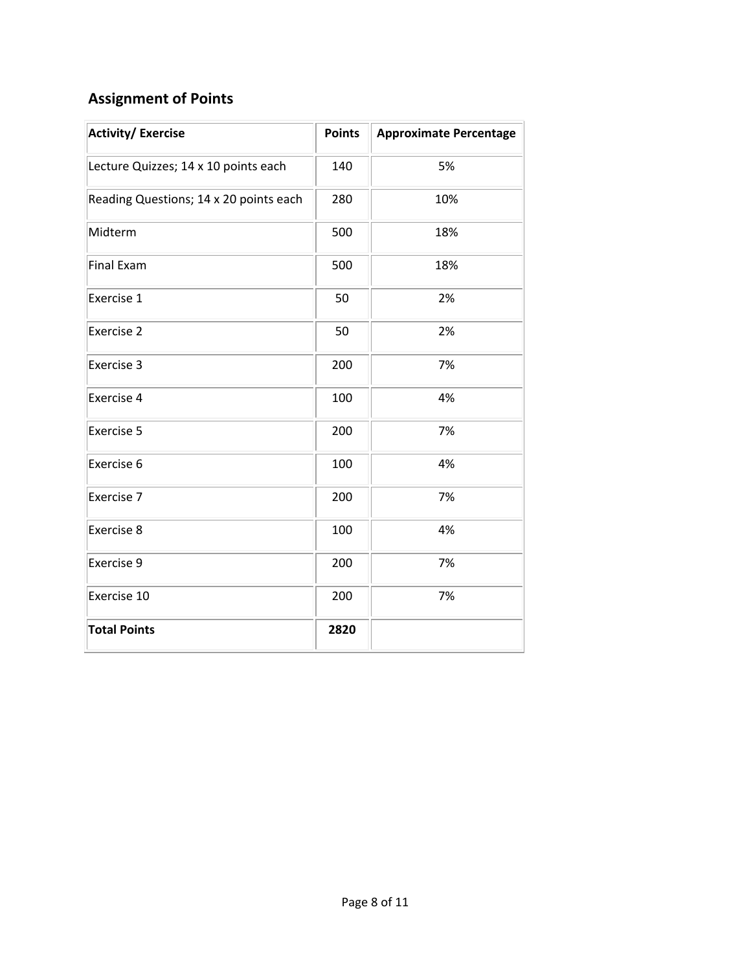# **Assignment of Points**

| <b>Activity/Exercise</b>               | <b>Points</b> | <b>Approximate Percentage</b> |
|----------------------------------------|---------------|-------------------------------|
| Lecture Quizzes; 14 x 10 points each   | 140           | 5%                            |
| Reading Questions; 14 x 20 points each | 280           | 10%                           |
| Midterm                                | 500           | 18%                           |
| <b>Final Exam</b>                      | 500           | 18%                           |
| Exercise 1                             | 50            | 2%                            |
| Exercise 2                             | 50            | 2%                            |
| Exercise 3                             | 200           | 7%                            |
| Exercise 4                             | 100           | 4%                            |
| Exercise 5                             | 200           | 7%                            |
| Exercise 6                             | 100           | 4%                            |
| Exercise 7                             | 200           | 7%                            |
| Exercise 8                             | 100           | 4%                            |
| Exercise 9                             | 200           | 7%                            |
| Exercise 10                            | 200           | 7%                            |
| <b>Total Points</b>                    | 2820          |                               |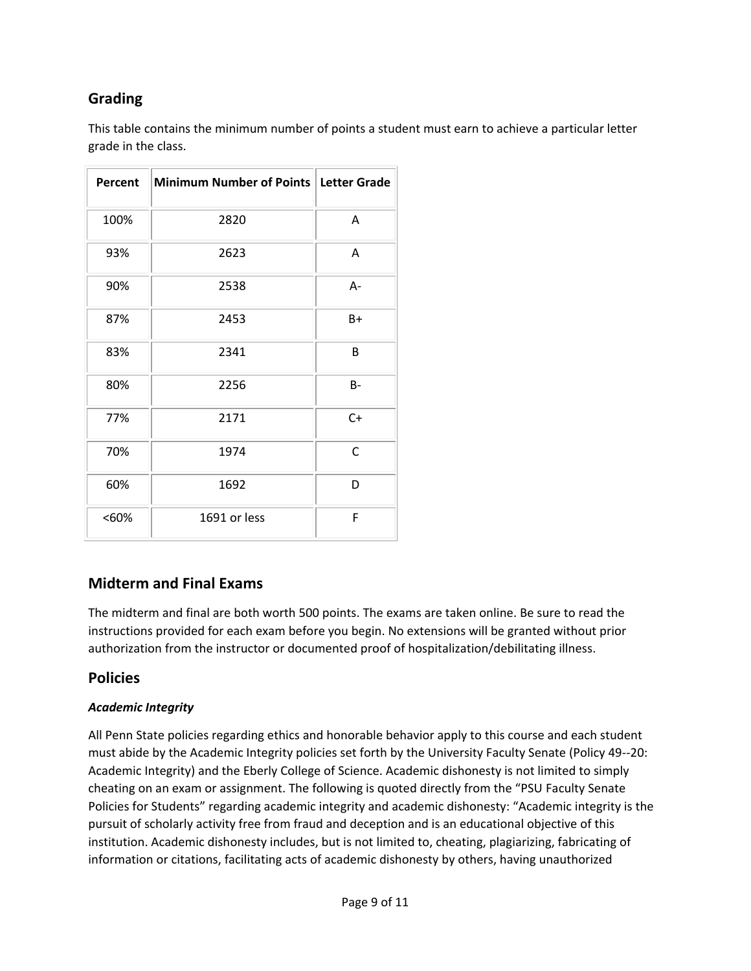# **Grading**

This table contains the minimum number of points a student must earn to achieve a particular letter grade in the class.

| Percent | Minimum Number of Points   Letter Grade |       |
|---------|-----------------------------------------|-------|
| 100%    | 2820                                    | Α     |
| 93%     | 2623                                    | Α     |
| 90%     | 2538                                    | A-    |
| 87%     | 2453                                    | B+    |
| 83%     | 2341                                    | B     |
| 80%     | 2256                                    | $B -$ |
| 77%     | 2171                                    | $C+$  |
| 70%     | 1974                                    | C     |
| 60%     | 1692                                    | D     |
| $<60\%$ | 1691 or less                            | F     |

### **Midterm and Final Exams**

The midterm and final are both worth 500 points. The exams are taken online. Be sure to read the instructions provided for each exam before you begin. No extensions will be granted without prior authorization from the instructor or documented proof of hospitalization/debilitating illness.

### **Policies**

### *Academic Integrity*

All Penn State policies regarding ethics and honorable behavior apply to this course and each student must abide by the Academic Integrity policies set forth by the University Faculty Senate (Policy 49-‐20: Academic Integrity) and the Eberly College of Science. Academic dishonesty is not limited to simply cheating on an exam or assignment. The following is quoted directly from the "PSU Faculty Senate Policies for Students" regarding academic integrity and academic dishonesty: "Academic integrity is the pursuit of scholarly activity free from fraud and deception and is an educational objective of this institution. Academic dishonesty includes, but is not limited to, cheating, plagiarizing, fabricating of information or citations, facilitating acts of academic dishonesty by others, having unauthorized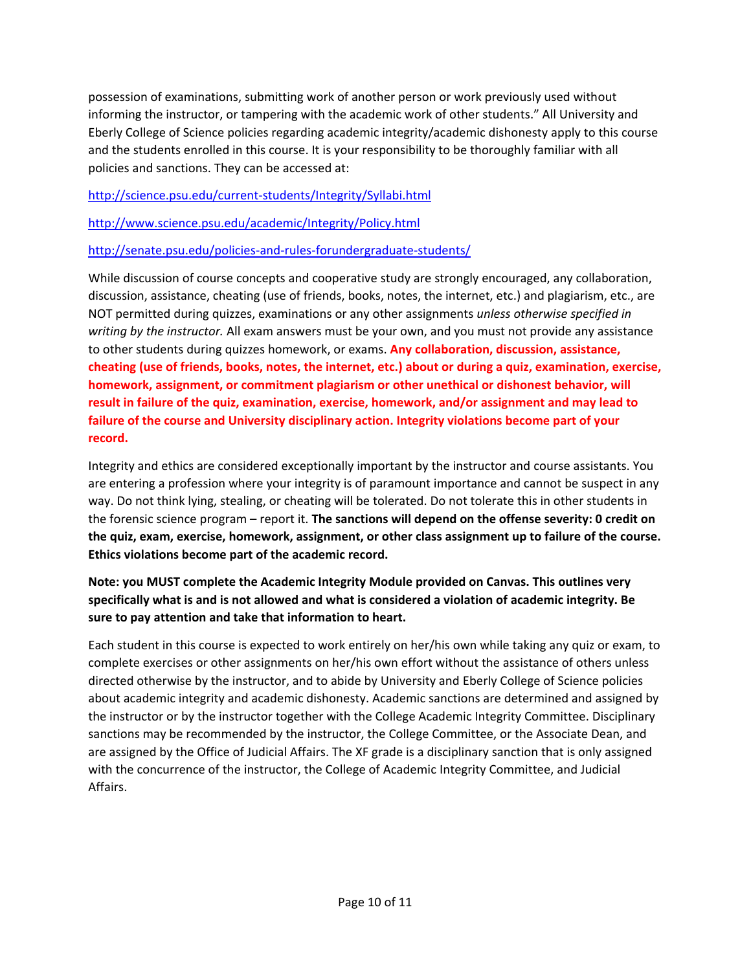possession of examinations, submitting work of another person or work previously used without informing the instructor, or tampering with the academic work of other students." All University and Eberly College of Science policies regarding academic integrity/academic dishonesty apply to this course and the students enrolled in this course. It is your responsibility to be thoroughly familiar with all policies and sanctions. They can be accessed at:

<http://science.psu.edu/current-students/Integrity/Syllabi.html>

<http://www.science.psu.edu/academic/Integrity/Policy.html>

<http://senate.psu.edu/policies-and-rules-forundergraduate-students/>

While discussion of course concepts and cooperative study are strongly encouraged, any collaboration, discussion, assistance, cheating (use of friends, books, notes, the internet, etc.) and plagiarism, etc., are NOT permitted during quizzes, examinations or any other assignments *unless otherwise specified in writing by the instructor.* All exam answers must be your own, and you must not provide any assistance to other students during quizzes homework, or exams. **Any collaboration, discussion, assistance, cheating (use of friends, books, notes, the internet, etc.) about or during a quiz, examination, exercise, homework, assignment, or commitment plagiarism or other unethical or dishonest behavior, will result in failure of the quiz, examination, exercise, homework, and/or assignment and may lead to failure of the course and University disciplinary action. Integrity violations become part of your record.**

Integrity and ethics are considered exceptionally important by the instructor and course assistants. You are entering a profession where your integrity is of paramount importance and cannot be suspect in any way. Do not think lying, stealing, or cheating will be tolerated. Do not tolerate this in other students in the forensic science program – report it. **The sanctions will depend on the offense severity: 0 credit on the quiz, exam, exercise, homework, assignment, or other class assignment up to failure of the course. Ethics violations become part of the academic record.**

**Note: you MUST complete the Academic Integrity Module provided on Canvas. This outlines very specifically what is and is not allowed and what is considered a violation of academic integrity. Be sure to pay attention and take that information to heart.**

Each student in this course is expected to work entirely on her/his own while taking any quiz or exam, to complete exercises or other assignments on her/his own effort without the assistance of others unless directed otherwise by the instructor, and to abide by University and Eberly College of Science policies about academic integrity and academic dishonesty. Academic sanctions are determined and assigned by the instructor or by the instructor together with the College Academic Integrity Committee. Disciplinary sanctions may be recommended by the instructor, the College Committee, or the Associate Dean, and are assigned by the Office of Judicial Affairs. The XF grade is a disciplinary sanction that is only assigned with the concurrence of the instructor, the College of Academic Integrity Committee, and Judicial Affairs.